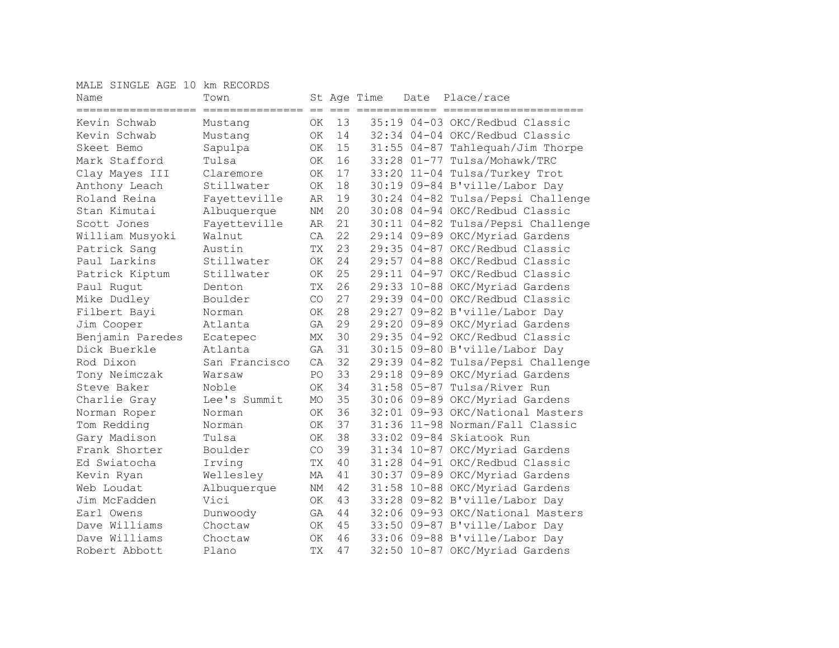MALE SINGLE AGE 10 km RECORDS

| Name                               | Town          |            |             | St Age Time | Date | Place/race                        |
|------------------------------------|---------------|------------|-------------|-------------|------|-----------------------------------|
| ==================<br>Kevin Schwab | Mustang       | $==$<br>ΟK | $===$<br>13 | ========    |      | 35:19 04-03 OKC/Redbud Classic    |
| Kevin Schwab                       | Mustang       | <b>OK</b>  | 14          |             |      | 32:34 04-04 OKC/Redbud Classic    |
| Skeet Bemo                         | Sapulpa       | <b>OK</b>  | 15          |             |      | 31:55 04-87 Tahlequah/Jim Thorpe  |
| Mark Stafford                      | Tulsa         | <b>OK</b>  | 16          |             |      | 33:28 01-77 Tulsa/Mohawk/TRC      |
| Clay Mayes III                     | Claremore     | OK.        | 17          |             |      | 33:20 11-04 Tulsa/Turkey Trot     |
| Anthony Leach                      | Stillwater    | <b>OK</b>  | 18          |             |      | 30:19 09-84 B'ville/Labor Day     |
| Roland Reina                       | Fayetteville  | AR         | 19          |             |      | 30:24 04-82 Tulsa/Pepsi Challenge |
| Stan Kimutai                       | Albuquerque   | NΜ         | 20          |             |      | 30:08 04-94 OKC/Redbud Classic    |
| Scott Jones                        | Fayetteville  | AR         | 21          |             |      | 30:11 04-82 Tulsa/Pepsi Challenge |
| William Musyoki                    | Walnut        | CA         | 22          |             |      | 29:14 09-89 OKC/Myriad Gardens    |
| Patrick Sang                       | Austin        | TX         | 23          |             |      | 29:35 04-87 OKC/Redbud Classic    |
| Paul Larkins                       | Stillwater    | OK         | 24          |             |      | 29:57 04-88 OKC/Redbud Classic    |
| Patrick Kiptum                     | Stillwater    | OK         | 25          |             |      | 29:11 04-97 OKC/Redbud Classic    |
| Paul Rugut                         | Denton        | TX         | 26          |             |      | 29:33 10-88 OKC/Myriad Gardens    |
| Mike Dudley                        | Boulder       | CO         | 27          |             |      | 29:39 04-00 OKC/Redbud Classic    |
| Filbert Bayi                       | Norman        | 0K         | 28          |             |      | 29:27 09-82 B'ville/Labor Day     |
| Jim Cooper                         | Atlanta       | GA         | 29          |             |      | 29:20 09-89 OKC/Myriad Gardens    |
| Benjamin Paredes                   | Ecatepec      | МX         | 30          |             |      | 29:35 04-92 OKC/Redbud Classic    |
| Dick Buerkle                       | Atlanta       | GA         | 31          |             |      | 30:15 09-80 B'ville/Labor Day     |
| Rod Dixon                          | San Francisco | CA         | 32          |             |      | 29:39 04-82 Tulsa/Pepsi Challenge |
| Tony Neimczak                      | Warsaw        | PO         | 33          |             |      | 29:18 09-89 OKC/Myriad Gardens    |
| Steve Baker                        | Noble         | OK         | 34          |             |      | 31:58 05-87 Tulsa/River Run       |
| Charlie Gray                       | Lee's Summit  | <b>MO</b>  | 35          |             |      | 30:06 09-89 OKC/Myriad Gardens    |
| Norman Roper                       | Norman        | OK         | 36          |             |      | 32:01 09-93 OKC/National Masters  |
| Tom Redding                        | Norman        | OK         | 37          |             |      | 31:36 11-98 Norman/Fall Classic   |
| Gary Madison                       | Tulsa         | 0K         | 38          |             |      | 33:02 09-84 Skiatook Run          |
| Frank Shorter                      | Boulder       | CO         | 39          |             |      | 31:34 10-87 OKC/Myriad Gardens    |
| Ed Swiatocha                       | Irving        | TX         | 40          |             |      | 31:28 04-91 OKC/Redbud Classic    |
| Kevin Ryan                         | Wellesley     | МA         | 41          |             |      | 30:37 09-89 OKC/Myriad Gardens    |
| Web Loudat                         | Albuquerque   | ΝM         | 42          |             |      | 31:58 10-88 OKC/Myriad Gardens    |
| Jim McFadden                       | Vici          | <b>OK</b>  | 43          |             |      | 33:28 09-82 B'ville/Labor Day     |
| Earl Owens                         | Dunwoody      | GA         | 44          |             |      | 32:06 09-93 OKC/National Masters  |
| Dave Williams                      | Choctaw       | <b>OK</b>  | 45          |             |      | 33:50 09-87 B'ville/Labor Day     |
| Dave Williams                      | Choctaw       | <b>OK</b>  | 46          |             |      | 33:06 09-88 B'ville/Labor Day     |
| Robert Abbott                      | Plano         | TX         | 47          |             |      | 32:50 10-87 OKC/Myriad Gardens    |